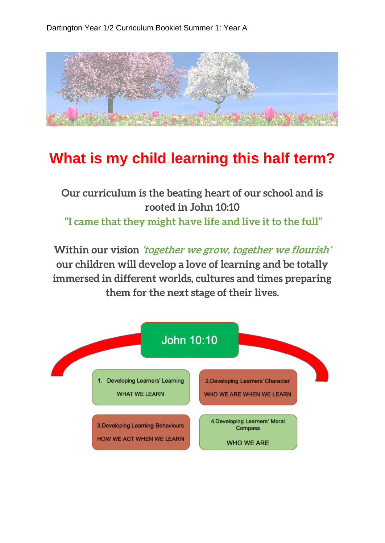

## **What is my child learning this half term?**

## **Our curriculum is the beating heart of our school and is rooted in John 10:10 "I came that they might have life and live it to the full"**

**Within our vision 'together we grow, together we flourish' our children will develop a love of learning and be totally immersed in different worlds, cultures and times preparing them for the next stage of their lives.**

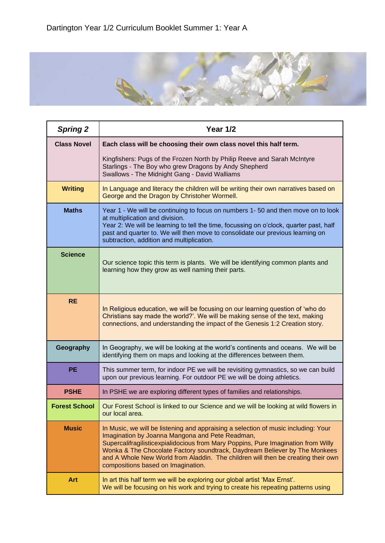

| <b>Spring 2</b>      | Year 1/2                                                                                                                                                                                                                                                                                                                                                                                                                           |
|----------------------|------------------------------------------------------------------------------------------------------------------------------------------------------------------------------------------------------------------------------------------------------------------------------------------------------------------------------------------------------------------------------------------------------------------------------------|
| <b>Class Novel</b>   | Each class will be choosing their own class novel this half term.                                                                                                                                                                                                                                                                                                                                                                  |
|                      | Kingfishers: Pugs of the Frozen North by Philip Reeve and Sarah McIntyre<br>Starlings - The Boy who grew Dragons by Andy Shepherd<br>Swallows - The Midnight Gang - David Walliams                                                                                                                                                                                                                                                 |
| <b>Writing</b>       | In Language and literacy the children will be writing their own narratives based on<br>George and the Dragon by Christoher Wormell.                                                                                                                                                                                                                                                                                                |
| <b>Maths</b>         | Year 1 - We will be continuing to focus on numbers 1-50 and then move on to look<br>at multiplication and division.<br>Year 2: We will be learning to tell the time, focussing on o'clock, quarter past, half<br>past and quarter to. We will then move to consolidate our previous learning on<br>subtraction, addition and multiplication.                                                                                       |
| <b>Science</b>       | Our science topic this term is plants. We will be identifying common plants and<br>learning how they grow as well naming their parts.                                                                                                                                                                                                                                                                                              |
| <b>RE</b>            | In Religious education, we will be focusing on our learning question of 'who do<br>Christians say made the world?'. We will be making sense of the text, making<br>connections, and understanding the impact of the Genesis 1:2 Creation story.                                                                                                                                                                                    |
| Geography            | In Geography, we will be looking at the world's continents and oceans. We will be<br>identifying them on maps and looking at the differences between them.                                                                                                                                                                                                                                                                         |
| <b>PE</b>            | This summer term, for indoor PE we will be revisiting gymnastics, so we can build<br>upon our previous learning. For outdoor PE we will be doing athletics.                                                                                                                                                                                                                                                                        |
| <b>PSHE</b>          | In PSHE we are exploring different types of families and relationships.                                                                                                                                                                                                                                                                                                                                                            |
| <b>Forest School</b> | Our Forest School is linked to our Science and we will be looking at wild flowers in<br>our local area.                                                                                                                                                                                                                                                                                                                            |
| <b>Music</b>         | In Music, we will be listening and appraising a selection of music including: Your<br>Imagination by Joanna Mangona and Pete Readman,<br>Supercalifragilisticexpialidocious from Mary Poppins, Pure Imagination from Willy<br>Wonka & The Chocolate Factory soundtrack, Daydream Believer by The Monkees<br>and A Whole New World from Aladdin. The children will then be creating their own<br>compositions based on Imagination. |
| Art                  | In art this half term we will be exploring our global artist 'Max Ernst'.<br>We will be focusing on his work and trying to create his repeating patterns using                                                                                                                                                                                                                                                                     |